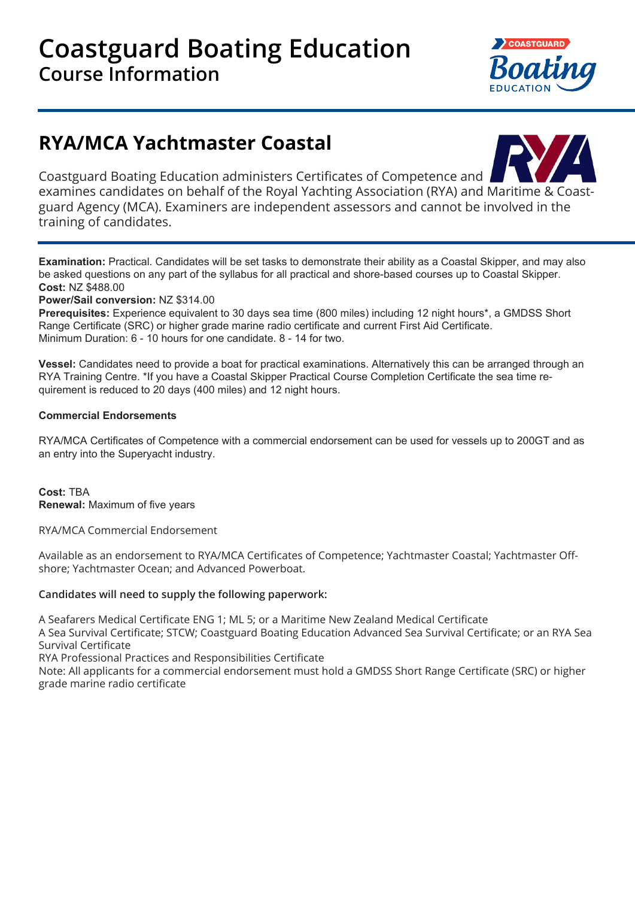

# **RYA/MCA Yachtmaster Coastal**



Coastguard Boating Education administers Certificates of Competence and examines candidates on behalf of the Royal Yachting Association (RYA) and Maritime & Coastguard Agency (MCA). Examiners are independent assessors and cannot be involved in the training of candidates.

**Examination:** Practical. Candidates will be set tasks to demonstrate their ability as a Coastal Skipper, and may also be asked questions on any part of the syllabus for all practical and shore-based courses up to Coastal Skipper. **Cost:** NZ \$488.00

**Power/Sail conversion:** NZ \$314.00

**Prerequisites:** Experience equivalent to 30 days sea time (800 miles) including 12 night hours\*, a GMDSS Short Range Certificate (SRC) or higher grade marine radio certificate and current First Aid Certificate. Minimum Duration: 6 - 10 hours for one candidate. 8 - 14 for two.

**Vessel:** Candidates need to provide a boat for practical examinations. Alternatively this can be arranged through an RYA Training Centre. \*If you have a Coastal Skipper Practical Course Completion Certificate the sea time requirement is reduced to 20 days (400 miles) and 12 night hours.

# **Commercial Endorsements**

RYA/MCA Certificates of Competence with a commercial endorsement can be used for vessels up to 200GT and as an entry into the Superyacht industry.

**Cost:** TBA **Renewal:** Maximum of five years

RYA/MCA Commercial Endorsement

Available as an endorsement to RYA/MCA Certificates of Competence; Yachtmaster Coastal; Yachtmaster Offshore; Yachtmaster Ocean; and Advanced Powerboat.

# **Candidates will need to supply the following paperwork:**

A Seafarers Medical Certificate ENG 1; ML 5; or a Maritime New Zealand Medical Certificate

A Sea Survival Certificate; STCW; Coastguard Boating Education Advanced Sea Survival Certificate; or an RYA Sea Survival Certificate

RYA Professional Practices and Responsibilities Certificate

Note: All applicants for a commercial endorsement must hold a GMDSS Short Range Certificate (SRC) or higher grade marine radio certificate